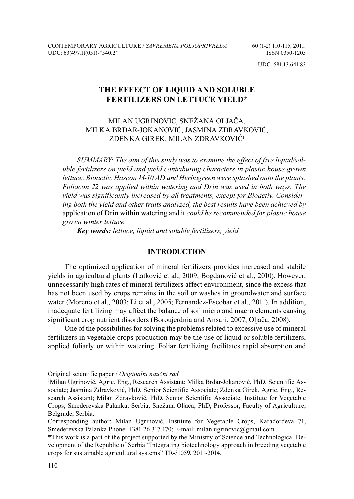UDC: 581.13:641.83

# **THE EFFECT OF LIQUID AND SOLUBLE FERTILIZERS ON LETTUCE YIELD\***

MILAN UGRINOVIĆ, SNEŽANA OLJAČA, MILKA BRDAR-JOKANOVIĆ, JASMINA ZDRAVKOVIĆ, ZDENKA GIREK, MILAN ZDRAVKOVIĆ1

*SUMMARY: The aim of this study was to examine the effect of five liquid/soluble fertilizers on yield and yield contributing characters in plastic house grown lettuce. Bioactiv, Hascon M-10 AD and Herbagreen were splashed onto the plants; Foliacon 22 was applied within watering and Drin was used in both ways. The yield was significantly increased by all treatments, except for Bioactiv. Considering both the yield and other traits analyzed, the best results have been achieved by*  application of Drin within watering and it *could be recommended for plastic house grown winter lettuce.*

*Key words: lettuce, liquid and soluble fertilizers, yield.*

### **INTRODUCTION**

The optimized application of mineral fertilizers provides increased and stabile yields in agricultural plants (Latković et al., 2009; Bogdanović et al., 2010). However, unnecessarily high rates of mineral fertilizers affect environment, since the excess that has not been used by crops remains in the soil or washes in groundwater and surface water (Moreno et al., 2003; Li et al., 2005; Fernandez-Escobar et al., 2011). In addition, inadequate fertilizing may affect the balance of soil micro and macro elements causing significant crop nutrient disorders (Boroujerdnia and Ansari, 2007; Oljača, 2008).

One of the possibilities for solving the problems related to excessive use of mineral fertilizers in vegetable crops production may be the use of liquid or soluble fertilizers, applied foliarly or within watering. Foliar fertilizing facilitates rapid absorption and

Original scientific paper / *Originalni naučni rad*

<sup>1</sup> Milan Ugrinović, Agric. Eng., Research Assistant; Milka Brdar-Jokanović, PhD, Scientific Associate; Jasmina Zdravković, PhD, Senior Scientific Associate; Zdenka Girek, Agric. Eng., Research Assistant; Milan Zdravković, PhD, Senior Scientific Associate; Institute for Vegetable Crops, Smederevska Palanka, Serbia; Snežana Oljača, PhD, Professor, Faculty of Agriculture, Belgrade, Serbia.

Corresponding author: Milan Ugrinović, Institute for Vegetable Crops, Karađorđeva 71, Smederevska Palanka.Phone: +381 26 317 170; E-mail: milan.ugrinovic@gmail.com

<sup>\*</sup>This work is a part of the project supported by the Ministry of Science and Technological Development of the Republic of Serbia "Integrating biotechnology approach in breeding vegetable crops for sustainable agricultural systems" TR-31059, 2011-2014.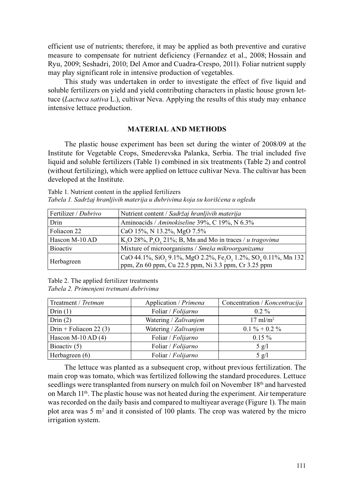efficient use of nutrients; therefore, it may be applied as both preventive and curative measure to compensate for nutrient deficiency (Fernandez et al., 2008; Hossain and Ryu, 2009; Seshadri, 2010; Del Amor and Cuadra-Crespo, 2011). Foliar nutrient supply may play significant role in intensive production of vegetables.

This study was undertaken in order to investigate the effect of five liquid and soluble fertilizers on yield and yield contributing characters in plastic house grown lettuce (*Lactuca sativa* L.), cultivar Neva. Applying the results of this study may enhance intensive lettuce production.

#### **MATERIAL AND METHODS**

The plastic house experiment has been set during the winter of 2008/09 at the Institute for Vegetable Crops, Smederevska Palanka, Serbia. The trial included five liquid and soluble fertilizers (Table 1) combined in six treatments (Table 2) and control (without fertilizing), which were applied on lettuce cultivar Neva. The cultivar has been developed at the Institute.

Table 1. Nutrient content in the applied fertilizers *Tabela 1. Sadržaj hranljivih materija u đubrivima koja su korišćena u ogledu*

| Fertilizer / <i>Dubrivo</i> | Nutrient content / Sadržaj hranljivih materija                                                |
|-----------------------------|-----------------------------------------------------------------------------------------------|
| Drin                        | Aminoacids / Aminokiseline 39%, C 19%, N 6.3%                                                 |
| Foliacon 22                 | CaO 15%, N 13.2%, MgO 7.5%                                                                    |
| Hascon M-10 AD              | K <sub>2</sub> O 28%, P <sub>2</sub> O <sub>5</sub> 21%; B, Mn and Mo in traces / u tragovima |
| <b>Bioactiv</b>             | Mixture of microorganisms / Smeša mikroorganizama                                             |
| Herbagreen                  | CaO 44.1%, SiO, 9.1%, MgO 2.2%, Fe,O, 1.2%, SO <sub>4</sub> 0.11%, Mn 132                     |
|                             | ppm, Zn 60 ppm, Cu 22.5 ppm, Ni 3.3 ppm, Cr 3.25 ppm                                          |

Table 2. The applied fertilizer treatments *Tabela 2. Primenjeni tretmani đubrivima*

| Treatment / Tretman      | Application / Primena | Concentration / Koncentracija   |  |
|--------------------------|-----------------------|---------------------------------|--|
| Drin $(1)$               | Foliar / Folijarno    | $0.2\%$                         |  |
| Drin $(2)$               | Watering / Zalivanjem | $17 \text{ m}$ l/m <sup>2</sup> |  |
| $Drin + Foliacon 22 (3)$ | Watering / Zalivanjem | $0.1\% + 0.2\%$                 |  |
| Hascon M-10 AD $(4)$     | Foliar / Folijarno    | $0.15\%$                        |  |
| Bioactiv (5)             | Foliar / Folijarno    | $5$ g/l                         |  |
| Herbagreen (6)           | Foliar / Folijarno    | $5 \text{ g}/1$                 |  |

The lettuce was planted as a subsequent crop, without previous fertilization. The main crop was tomato, which was fertilized following the standard procedures. Lettuce seedlings were transplanted from nursery on mulch foil on November 18th and harvested on March  $11<sup>th</sup>$ . The plastic house was not heated during the experiment. Air temperature was recorded on the daily basis and compared to multiyear average (Figure 1). The main plot area was  $5 \text{ m}^2$  and it consisted of 100 plants. The crop was watered by the micro irrigation system.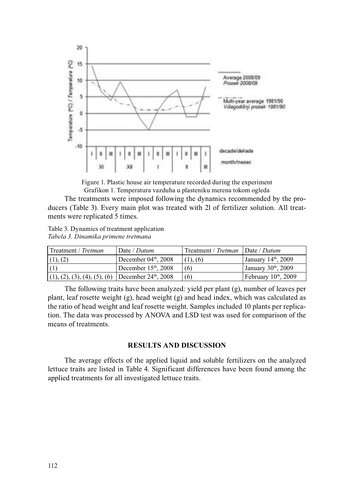

Figure 1. Plastic house air temperature recorded during the experiment Grafikon 1. Temperatura vazduha u plasteniku merena tokom ogleda

The treatments were imposed following the dynamics recommended by the producers (Table 3). Every main plot was treated with 2l of fertilizer solution. All treatments were replicated 5 times.

Table 3. Dynamics of treatment application *Tabela 3. Dinamika primene tretmana*

| Treatment / Tretman                                             | Date / Datum           | Treatment / Tretman   Date / Datum |                                  |
|-----------------------------------------------------------------|------------------------|------------------------------------|----------------------------------|
| (1), (2)                                                        | December 04th, 2008    | (1), (6)                           | January 14 <sup>th</sup> , 2009  |
| (1)                                                             | December $15th$ , 2008 | (6)                                | January 30 <sup>th</sup> , 2009  |
| $(1), (2), (3), (4), (5), (6)$ December 24 <sup>th</sup> , 2008 |                        | (6)                                | February 10 <sup>th</sup> , 2009 |

The following traits have been analyzed: yield per plant (g), number of leaves per plant, leaf rosette weight  $(g)$ , head weight  $(g)$  and head index, which was calculated as the ratio of head weight and leaf rosette weight. Samples included 10 plants per replication. The data was processed by ANOVA and LSD test was used for comparison of the means of treatments.

### **RESULTS AND DISCUSSION**

The average effects of the applied liquid and soluble fertilizers on the analyzed lettuce traits are listed in Table 4. Significant differences have been found among the applied treatments for all investigated lettuce traits.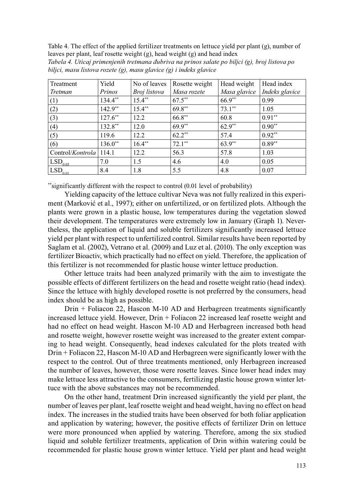Table 4. The effect of the applied fertilizer treatments on lettuce yield per plant (g), number of leaves per plant, leaf rosette weight (g), head weight (g) and head index

| Treatment                        | Yield      | No of leaves | Rosette weight | Head weight  | Head index     |
|----------------------------------|------------|--------------|----------------|--------------|----------------|
| Tretman                          | Prinos     | Broj listova | Masa rozete    | Masa glavice | Indeks glavice |
| (1)                              | 134.4**    | $15.4**$     | $67.5***$      | 66.9**       | 0.99           |
| (2)                              | $142.9**$  | $15.4**$     | $69.8**$       | $73.1**$     | 1.05           |
| (3)                              | $127.6***$ | 12.2         | $66.8***$      | 60.8         | $0.91**$       |
| (4)                              | $132.8***$ | 12.0         | $69.9**$       | $62.9**$     | $0.90**$       |
| (5)                              | 119.6      | 12.2         | $62.2**$       | 57.4         | $0.92**$       |
| (6)                              | $136.0**$  | $16.4***$    | $72.1**$       | $63.9**$     | $0.89**$       |
| Control/ <i>Kontrola</i>   114.1 |            | 12.2         | 56.3           | 57.8         | 1.03           |
| LSD <sub>0.05</sub>              | 7.0        | 1.5          | 4.6            | 4.0          | 0.05           |
| $LSD$ <sub>0.01</sub>            | 8.4        | 1.8          | 5.5            | 4.8          | 0.07           |

*Tabela 4. Uticaj primenjenih tretmana đubriva na prinos salate po biljci (g), broj listova po biljci, masu listova rozete (g), masu glavice (g) i indeks glavice* 

\*\*significantly different with the respect to control (0.01 level of probability)

Yielding capacity of the lettuce cultivar Neva was not fully realized in this experiment (Marković et al., 1997); either on unfertilized, or on fertilized plots. Although the plants were grown in a plastic house, low temperatures during the vegetation slowed their development. The temperatures were extremely low in January (Graph 1). Nevertheless, the application of liquid and soluble fertilizers significantly increased lettuce yield per plant with respect to unfertilized control. Similar results have been reported by Saglam et al. (2002), Vetrano et al. (2009) and Luz et al. (2010). The only exception was fertilizer Bioactiv, which practically had no effect on yield. Therefore, the application of this fertilizer is not recommended for plastic house winter lettuce production.

Other lettuce traits had been analyzed primarily with the aim to investigate the possible effects of different fertilizers on the head and rosette weight ratio (head index). Since the lettuce with highly developed rosette is not preferred by the consumers, head index should be as high as possible.

Drin + Foliacon 22, Hascon M-10 AD and Herbagreen treatments significantly increased lettuce yield. However, Drin + Foliacon 22 increased leaf rosette weight and had no effect on head weight. Hascon M-10 AD and Herbagreen increased both head and rosette weight, however rosette weight was increased to the greater extent comparing to head weight. Consequently, head indexes calculated for the plots treated with Drin + Foliacon 22, Hascon M-10 AD and Herbagreen were significantly lower with the respect to the control. Out of three treatments mentioned, only Herbagreen increased the number of leaves, however, those were rosette leaves. Since lower head index may make lettuce less attractive to the consumers, fertilizing plastic house grown winter lettuce with the above substances may not be recommended.

On the other hand, treatment Drin increased significantly the yield per plant, the number of leaves per plant, leaf rosette weight and head weight, having no effect on head index. The increases in the studied traits have been observed for both foliar application and application by watering; however, the positive effects of fertilizer Drin on lettuce were more pronounced when applied by watering. Therefore, among the six studied liquid and soluble fertilizer treatments, application of Drin within watering could be recommended for plastic house grown winter lettuce. Yield per plant and head weight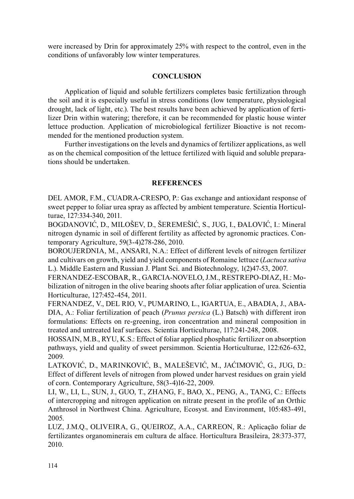were increased by Drin for approximately 25% with respect to the control, even in the conditions of unfavorably low winter temperatures.

## **CONCLUSION**

Application of liquid and soluble fertilizers completes basic fertilization through the soil and it is especially useful in stress conditions (low temperature, physiological drought, lack of light, etc.). The best results have been achieved by application of fertilizer Drin within watering; therefore, it can be recommended for plastic house winter lettuce production. Application of microbiological fertilizer Bioactive is not recommended for the mentioned production system.

Further investigations on the levels and dynamics of fertilizer applications, as well as on the chemical composition of the lettuce fertilized with liquid and soluble preparations should be undertaken.

### **REFERENCES**

DEL AMOR, F.M., CUADRA-CRESPO, P.: Gas exchange and antioxidant response of sweet pepper to foliar urea spray as affected by ambient temperature. Scientia Horticulturae, 127:334-340, 2011.

BOGDANOVIĆ, D., MILOŠEV, D., ŠEREMEŠIĆ, S., JUG, I., ĐALOVIĆ, I.: Mineral nitrogen dynamic in soil of different fertility as affected by agronomic practices. Contemporary Agriculture, 59(3-4)278-286, 2010.

BOROUJERDNIA, M., ANSARI, N.A.: Effect of different levels of nitrogen fertilizer and cultivars on growth, yield and yield components of Romaine lettuce (*Lactuca sativa* L.). Middle Eastern and Russian J. Plant Sci. and Biotechnology, 1(2)47-53, 2007.

FERNANDEZ-ESCOBAR, R., GARCIA-NOVELO, J.M., RESTREPO-DIAZ, H.: Mobilization of nitrogen in the olive bearing shoots after foliar application of urea. Scientia Horticulturae, 127:452-454, 2011.

FERNANDEZ, V., DEL RIO, V., PUMARINO, L., IGARTUA, E., ABADIA, J., ABA-DIA, A.: Foliar fertilization of peach (*Prunus persica* (L.) Batsch) with different iron formulations: Effects on re-greening, iron concentration and mineral composition in treated and untreated leaf surfaces. Scientia Horticulturae, 117:241-248, 2008.

HOSSAIN, M.B., RYU, K.S.: Effect of foliar applied phosphatic fertilizer on absorption pathways, yield and quality of sweet persimmon. Scientia Horticulturae, 122:626-632, 2009.

LATKOVIĆ, D., MARINKOVIĆ, B., MALEŠEVIĆ, M., JAĆIMOVIĆ, G., JUG, D.: Effect of different levels of nitrogen from plowed under harvest residues on grain yield of corn. Contemporary Agriculture, 58(3-4)16-22, 2009.

LI, W., LI, L., SUN, J., GUO, T., ZHANG, F., BAO, X., PENG, A., TANG, C.: Effects of intercropping and nitrogen application on nitrate present in the profile of an Orthic Anthrosol in Northwest China. Agriculture, Ecosyst. and Environment, 105:483-491, 2005.

LUZ, J.M.Q., OLIVEIRA, G., QUEIROZ, A.A., CARREON, R.: Aplicação foliar de fertilizantes organominerais em cultura de alface. Horticultura Brasileira, 28:373-377, 2010.